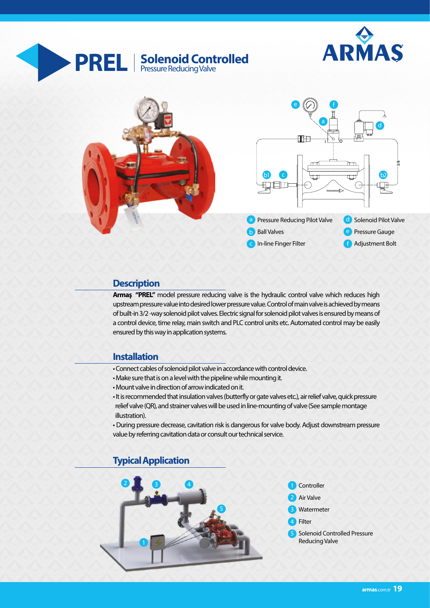

#### **Description**

**Armaş "PREL"** model pressure reducing valve is the hydraulic control valve which reduces high upstream pressure value into desired lower pressure value. Control of main valve is achieved by means of built-in 3/2 -way solenoid pilot valves. Electric signal for solenoid pilot valves is ensured by means of a control device, time relay, main switch and PLC control units etc. Automated control may be easily ensured by this way in application systems.

#### **Installation**

- Connect cables of solenoid pilot valve in accordance with control device.
- Make sure that is on a level with the pipeline while mounting it.
- Mount valve in direction of arrow indicated on it.
- It is recommended that insulation valves (butterfly or gate valves etc.), air relief valve, quick pressure relief valve (QR), and strainer valves will be used in line-mounting of valve (See sample montage illustration).
- During pressure decrease, cavitation risk is dangerous for valve body. Adjust downstream pressure value by referring cavitation data or consult our technical service.



### **Typical Application**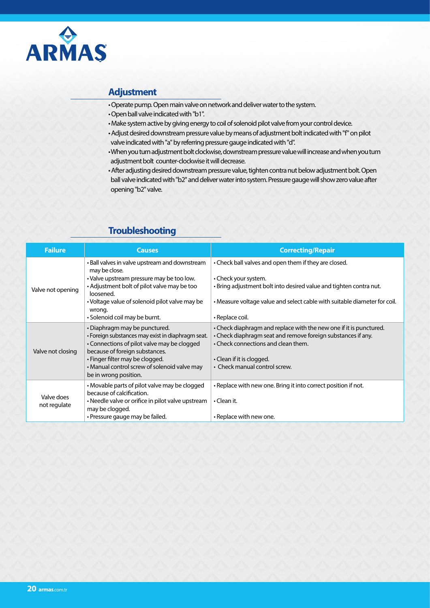

#### **Adjustment**

- Operate pump. Open main valve on network and deliver water to the system.
- Open ball valve indicated with "b1".
- Make system active by giving energy to coil of solenoid pilot valve from your control device.
- Adjust desired downstream pressure value by means of adjustment bolt indicated with "f" on pilot valve indicated with "a" by referring pressure gauge indicated with "d".
- When you turn adjustment bolt clockwise, downstream pressure value will increase and when you turn adjustment bolt counter-clockwise it will decrease.
- After adjusting desired downstream pressure value, tighten contra nut below adjustment bolt. Open ball valve indicated with "b2" and deliver water into system. Pressure gauge will show zero value after opening "b2" valve.

| <b>Failure</b>             | <b>Causes</b>                                                                                                                                                                                                                                                                   | <b>Correcting/Repair</b>                                                                                                                                                                                                                            |
|----------------------------|---------------------------------------------------------------------------------------------------------------------------------------------------------------------------------------------------------------------------------------------------------------------------------|-----------------------------------------------------------------------------------------------------------------------------------------------------------------------------------------------------------------------------------------------------|
| Valve not opening          | • Ball valves in valve upstream and downstream<br>may be close.<br>• Valve upstream pressure may be too low.<br>• Adjustment bolt of pilot valve may be too<br>loosened.<br>• Voltage value of solenoid pilot valve may be<br>wrong.<br>· Solenoid coil may be burnt.           | • Check ball valves and open them if they are closed.<br>• Check your system.<br>. Bring adjustment bolt into desired value and tighten contra nut.<br>• Measure voltage value and select cable with suitable diameter for coil.<br>• Replace coil. |
| Valve not closing          | • Diaphragm may be punctured.<br>• Foreign substances may exist in diaphragm seat.<br>• Connections of pilot valve may be clogged<br>because of foreign substances.<br>• Finger filter may be clogged.<br>• Manual control screw of solenoid valve may<br>be in wrong position. | • Check diaphragm and replace with the new one if it is punctured.<br>• Check diaphragm seat and remove foreign substances if any.<br>• Check connections and clean them.<br>• Clean if it is clogged.<br>• Check manual control screw.             |
| Valve does<br>not regulate | • Movable parts of pilot valve may be clogged<br>because of calcification.<br>• Needle valve or orifice in pilot valve upstream<br>may be clogged.<br>• Pressure gauge may be failed.                                                                                           | . Replace with new one. Bring it into correct position if not.<br>$\cdot$ Clean it.<br>• Replace with new one.                                                                                                                                      |

## **Troubleshooting**